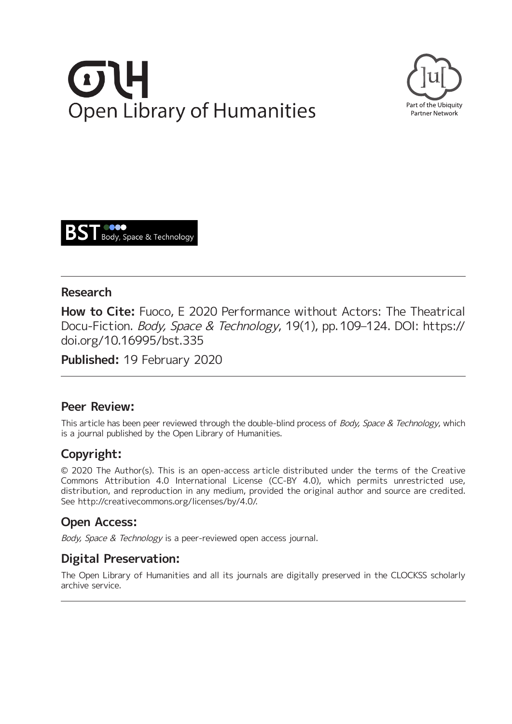# **Open Library of Humanities**





## **Research**

**How to Cite:** Fuoco, E 2020 Performance without Actors: The Theatrical Docu-Fiction. Body, Space & Technology, 19(1), pp. 109–124. DOI: [https://](https://doi.org/10.16995/bst.335) [doi.org/10.16995/bst.335](https://doi.org/10.16995/bst.335)

**Published:** 19 February 2020

## **Peer Review:**

This article has been peer reviewed through the double-blind process of Body, Space & Technology, which is a journal published by the Open Library of Humanities.

# **Copyright:**

© 2020 The Author(s). This is an open-access article distributed under the terms of the Creative Commons Attribution 4.0 International License (CC-BY 4.0), which permits unrestricted use, distribution, and reproduction in any medium, provided the original author and source are credited. See <http://creativecommons.org/licenses/by/4.0/>.

# **Open Access:**

Body, Space & Technology is a peer-reviewed open access journal.

# **Digital Preservation:**

The Open Library of Humanities and all its journals are digitally preserved in the CLOCKSS scholarly archive service.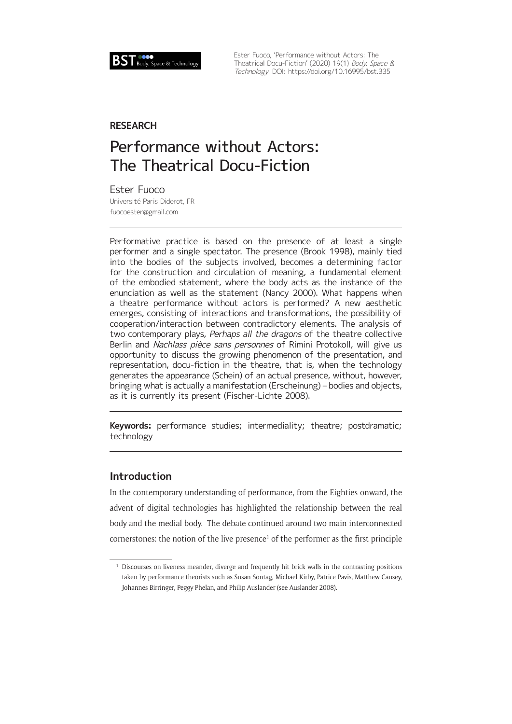

Ester Fuoco, 'Performance without Actors: The Theatrical Docu-Fiction' (2020) 19(1) Body, Space & Technology. DOI:<https://doi.org/10.16995/bst.335>

#### **RESEARCH**

# Performance without Actors: The Theatrical Docu-Fiction

Ester Fuoco Université Paris Diderot, FR [fuocoester@gmail.com](mailto:fuocoester@gmail.com)

Performative practice is based on the presence of at least a single performer and a single spectator. The presence (Brook 1998), mainly tied into the bodies of the subjects involved, becomes a determining factor for the construction and circulation of meaning, a fundamental element of the embodied statement, where the body acts as the instance of the enunciation as well as the statement (Nancy 2000). What happens when a theatre performance without actors is performed? A new aesthetic emerges, consisting of interactions and transformations, the possibility of cooperation/interaction between contradictory elements. The analysis of two contemporary plays, Perhaps all the dragons of the theatre collective Berlin and Nachlass pièce sans personnes of Rimini Protokoll, will give us opportunity to discuss the growing phenomenon of the presentation, and representation, docu-fiction in the theatre, that is, when the technology generates the appearance (Schein) of an actual presence, without, however, bringing what is actually a manifestation (Erscheinung) – bodies and objects, as it is currently its present (Fischer-Lichte 2008).

**Keywords:** performance studies; intermediality; theatre; postdramatic; technology

#### **Introduction**

In the contemporary understanding of performance, from the Eighties onward, the advent of digital technologies has highlighted the relationship between the real body and the medial body. The debate continued around two main interconnected  $coners$  the notion of the live presence<sup>1</sup> of the performer as the first principle

<sup>&</sup>lt;sup>1</sup> Discourses on liveness meander, diverge and frequently hit brick walls in the contrasting positions taken by performance theorists such as Susan Sontag, Michael Kirby, Patrice Pavis, Matthew Causey, Johannes Birringer, Peggy Phelan, and Philip Auslander (see Auslander 2008).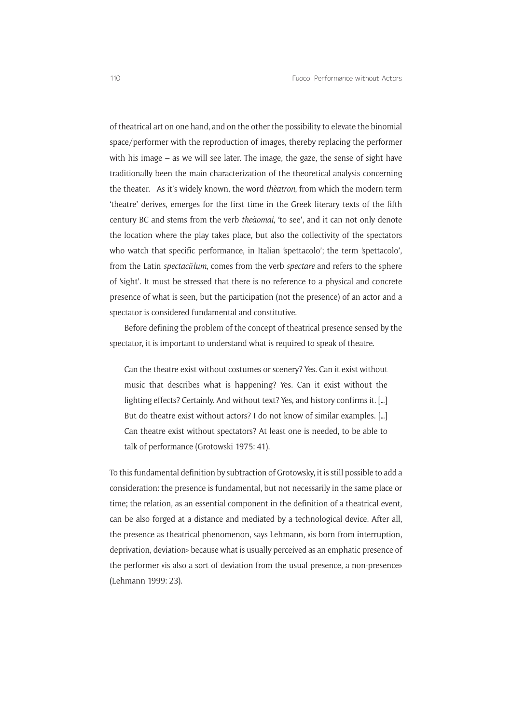of theatrical art on one hand, and on the other the possibility to elevate the binomial space/performer with the reproduction of images, thereby replacing the performer with his image – as we will see later. The image, the gaze, the sense of sight have traditionally been the main characterization of the theoretical analysis concerning the theater. As it's widely known, the word *thèatron*, from which the modern term 'theatre' derives, emerges for the first time in the Greek literary texts of the fifth century BC and stems from the verb *theàomai*, 'to see', and it can not only denote the location where the play takes place, but also the collectivity of the spectators who watch that specific performance, in Italian 'spettacolo'; the term 'spettacolo', from the Latin *spectacŭlum*, comes from the verb *spectare* and refers to the sphere of 'sight'. It must be stressed that there is no reference to a physical and concrete presence of what is seen, but the participation (not the presence) of an actor and a spectator is considered fundamental and constitutive.

Before defining the problem of the concept of theatrical presence sensed by the spectator, it is important to understand what is required to speak of theatre.

Can the theatre exist without costumes or scenery? Yes. Can it exist without music that describes what is happening? Yes. Can it exist without the lighting effects? Certainly. And without text? Yes, and history confirms it. […] But do theatre exist without actors? I do not know of similar examples. […] Can theatre exist without spectators? At least one is needed, to be able to talk of performance (Grotowski 1975: 41).

To this fundamental definition by subtraction of Grotowsky, it is still possible to add a consideration: the presence is fundamental, but not necessarily in the same place or time; the relation, as an essential component in the definition of a theatrical event, can be also forged at a distance and mediated by a technological device. After all, the presence as theatrical phenomenon, says Lehmann, «is born from interruption, deprivation, deviation» because what is usually perceived as an emphatic presence of the performer «is also a sort of deviation from the usual presence, a non-presence» (Lehmann 1999: 23).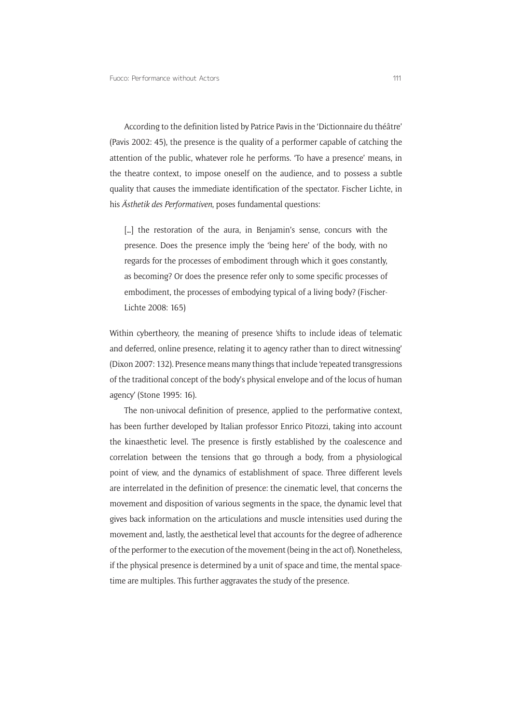According to the definition listed by Patrice Pavis in the 'Dictionnaire du théâtre' (Pavis 2002: 45), the presence is the quality of a performer capable of catching the attention of the public, whatever role he performs. 'To have a presence' means, in the theatre context, to impose oneself on the audience, and to possess a subtle quality that causes the immediate identification of the spectator. Fischer Lichte, in his *Ästhetik des Performativen*, poses fundamental questions:

[...] the restoration of the aura, in Benjamin's sense, concurs with the presence. Does the presence imply the 'being here' of the body, with no regards for the processes of embodiment through which it goes constantly, as becoming? Or does the presence refer only to some specific processes of embodiment, the processes of embodying typical of a living body? (Fischer-Lichte 2008: 165)

Within cybertheory, the meaning of presence 'shifts to include ideas of telematic and deferred, online presence, relating it to agency rather than to direct witnessing' (Dixon 2007: 132). Presence means many things that include 'repeated transgressions of the traditional concept of the body's physical envelope and of the locus of human agency' (Stone 1995: 16).

The non-univocal definition of presence, applied to the performative context, has been further developed by Italian professor Enrico Pitozzi, taking into account the kinaesthetic level. The presence is firstly established by the coalescence and correlation between the tensions that go through a body, from a physiological point of view, and the dynamics of establishment of space. Three different levels are interrelated in the definition of presence: the cinematic level, that concerns the movement and disposition of various segments in the space, the dynamic level that gives back information on the articulations and muscle intensities used during the movement and, lastly, the aesthetical level that accounts for the degree of adherence of the performer to the execution of the movement (being in the act of). Nonetheless, if the physical presence is determined by a unit of space and time, the mental spacetime are multiples. This further aggravates the study of the presence.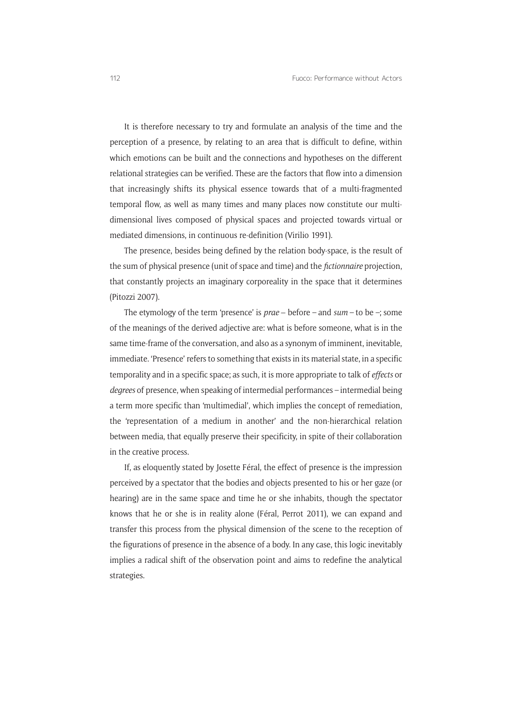It is therefore necessary to try and formulate an analysis of the time and the perception of a presence, by relating to an area that is difficult to define, within which emotions can be built and the connections and hypotheses on the different relational strategies can be verified. These are the factors that flow into a dimension that increasingly shifts its physical essence towards that of a multi-fragmented temporal flow, as well as many times and many places now constitute our multidimensional lives composed of physical spaces and projected towards virtual or mediated dimensions, in continuous re-definition (Virilio 1991).

The presence, besides being defined by the relation body-space, is the result of the sum of physical presence (unit of space and time) and the *fictionnaire* projection, that constantly projects an imaginary corporeality in the space that it determines (Pitozzi 2007).

The etymology of the term 'presence' is  $\text{prae} - \text{before} - \text{and} \text{ sum} - \text{to} \text{be} - \text{; some}$ of the meanings of the derived adjective are: what is before someone, what is in the same time-frame of the conversation, and also as a synonym of imminent, inevitable, immediate. 'Presence' refers to something that exists in its material state, in a specific temporality and in a specific space; as such, it is more appropriate to talk of *effects* or *degrees* of presence, when speaking of intermedial performances – intermedial being a term more specific than 'multimedial', which implies the concept of remediation, the 'representation of a medium in another' and the non-hierarchical relation between media, that equally preserve their specificity, in spite of their collaboration in the creative process.

If, as eloquently stated by Josette Féral, the effect of presence is the impression perceived by a spectator that the bodies and objects presented to his or her gaze (or hearing) are in the same space and time he or she inhabits, though the spectator knows that he or she is in reality alone (Féral, Perrot 2011), we can expand and transfer this process from the physical dimension of the scene to the reception of the figurations of presence in the absence of a body. In any case, this logic inevitably implies a radical shift of the observation point and aims to redefine the analytical strategies.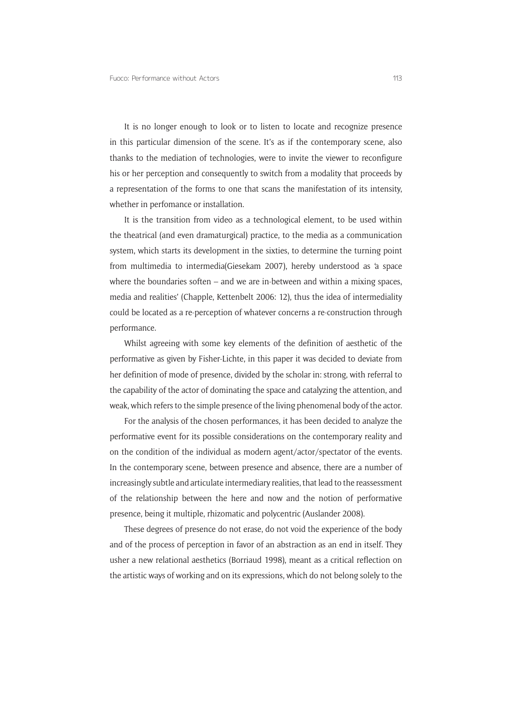It is no longer enough to look or to listen to locate and recognize presence in this particular dimension of the scene. It's as if the contemporary scene, also thanks to the mediation of technologies, were to invite the viewer to reconfigure his or her perception and consequently to switch from a modality that proceeds by a representation of the forms to one that scans the manifestation of its intensity, whether in perfomance or installation.

It is the transition from video as a technological element, to be used within the theatrical (and even dramaturgical) practice, to the media as a communication system, which starts its development in the sixties, to determine the turning point from multimedia to intermedia(Giesekam 2007), hereby understood as 'a space where the boundaries soften – and we are in-between and within a mixing spaces, media and realities' (Chapple, Kettenbelt 2006: 12), thus the idea of intermediality could be located as a re-perception of whatever concerns a re-construction through performance.

Whilst agreeing with some key elements of the definition of aesthetic of the performative as given by Fisher-Lichte, in this paper it was decided to deviate from her definition of mode of presence, divided by the scholar in: strong, with referral to the capability of the actor of dominating the space and catalyzing the attention, and weak, which refers to the simple presence of the living phenomenal body of the actor.

For the analysis of the chosen performances, it has been decided to analyze the performative event for its possible considerations on the contemporary reality and on the condition of the individual as modern agent/actor/spectator of the events. In the contemporary scene, between presence and absence, there are a number of increasingly subtle and articulate intermediary realities, that lead to the reassessment of the relationship between the here and now and the notion of performative presence, being it multiple, rhizomatic and polycentric (Auslander 2008).

These degrees of presence do not erase, do not void the experience of the body and of the process of perception in favor of an abstraction as an end in itself. They usher a new relational aesthetics (Borriaud 1998), meant as a critical reflection on the artistic ways of working and on its expressions, which do not belong solely to the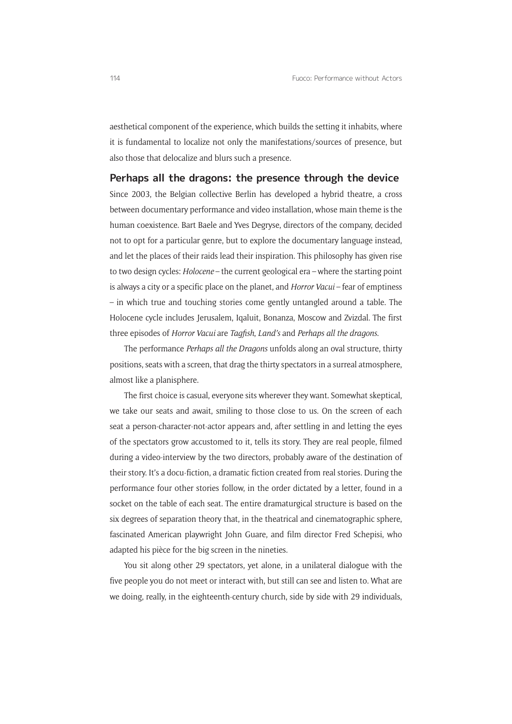aesthetical component of the experience, which builds the setting it inhabits, where it is fundamental to localize not only the manifestations/sources of presence, but also those that delocalize and blurs such a presence.

#### **Perhaps all the dragons: the presence through the device**

Since 2003, the Belgian collective Berlin has developed a hybrid theatre, a cross between documentary performance and video installation, whose main theme is the human coexistence. Bart Baele and Yves Degryse, directors of the company, decided not to opt for a particular genre, but to explore the documentary language instead, and let the places of their raids lead their inspiration. This philosophy has given rise to two design cycles: *Holocene* – the current geological era – where the starting point is always a city or a specific place on the planet, and *Horror Vacui* – fear of emptiness – in which true and touching stories come gently untangled around a table. The Holocene cycle includes Jerusalem, Iqaluit, Bonanza, Moscow and Zvizdal. The first three episodes of *Horror Vacui* are *Tagfish*, *Land's* and *Perhaps all the dragons*.

The performance *Perhaps all the Dragons* unfolds along an oval structure, thirty positions, seats with a screen, that drag the thirty spectators in a surreal atmosphere, almost like a planisphere.

The first choice is casual, everyone sits wherever they want. Somewhat skeptical, we take our seats and await, smiling to those close to us. On the screen of each seat a person-character-not-actor appears and, after settling in and letting the eyes of the spectators grow accustomed to it, tells its story. They are real people, filmed during a video-interview by the two directors, probably aware of the destination of their story. It's a docu-fiction, a dramatic fiction created from real stories. During the performance four other stories follow, in the order dictated by a letter, found in a socket on the table of each seat. The entire dramaturgical structure is based on the six degrees of separation theory that, in the theatrical and cinematographic sphere, fascinated American playwright John Guare, and film director Fred Schepisi, who adapted his pièce for the big screen in the nineties.

You sit along other 29 spectators, yet alone, in a unilateral dialogue with the five people you do not meet or interact with, but still can see and listen to. What are we doing, really, in the eighteenth-century church, side by side with 29 individuals,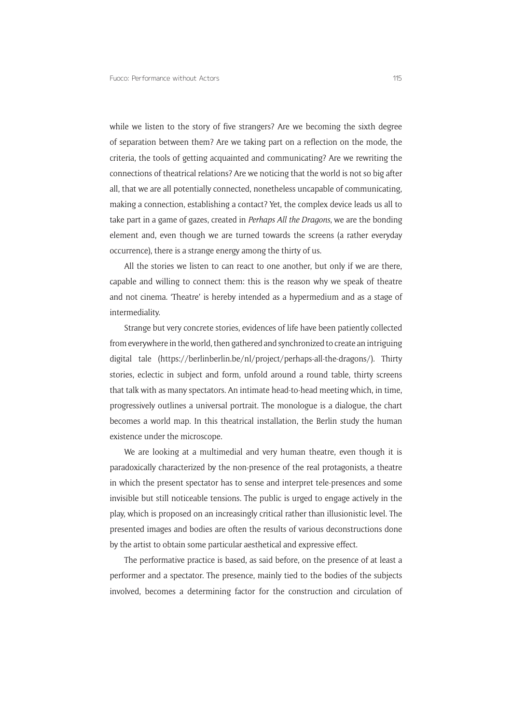while we listen to the story of five strangers? Are we becoming the sixth degree of separation between them? Are we taking part on a reflection on the mode, the criteria, the tools of getting acquainted and communicating? Are we rewriting the connections of theatrical relations? Are we noticing that the world is not so big after all, that we are all potentially connected, nonetheless uncapable of communicating, making a connection, establishing a contact? Yet, the complex device leads us all to take part in a game of gazes, created in *Perhaps All the Dragons*, we are the bonding element and, even though we are turned towards the screens (a rather everyday occurrence), there is a strange energy among the thirty of us.

All the stories we listen to can react to one another, but only if we are there, capable and willing to connect them: this is the reason why we speak of theatre and not cinema. 'Theatre' is hereby intended as a hypermedium and as a stage of intermediality.

Strange but very concrete stories, evidences of life have been patiently collected from everywhere in the world, then gathered and synchronized to create an intriguing digital tale (<https://berlinberlin.be/nl/project/perhaps-all-the-dragons/>). Thirty stories, eclectic in subject and form, unfold around a round table, thirty screens that talk with as many spectators. An intimate head-to-head meeting which, in time, progressively outlines a universal portrait. The monologue is a dialogue, the chart becomes a world map. In this theatrical installation, the Berlin study the human existence under the microscope.

We are looking at a multimedial and very human theatre, even though it is paradoxically characterized by the non-presence of the real protagonists, a theatre in which the present spectator has to sense and interpret tele-presences and some invisible but still noticeable tensions. The public is urged to engage actively in the play, which is proposed on an increasingly critical rather than illusionistic level. The presented images and bodies are often the results of various deconstructions done by the artist to obtain some particular aesthetical and expressive effect.

The performative practice is based, as said before, on the presence of at least a performer and a spectator. The presence, mainly tied to the bodies of the subjects involved, becomes a determining factor for the construction and circulation of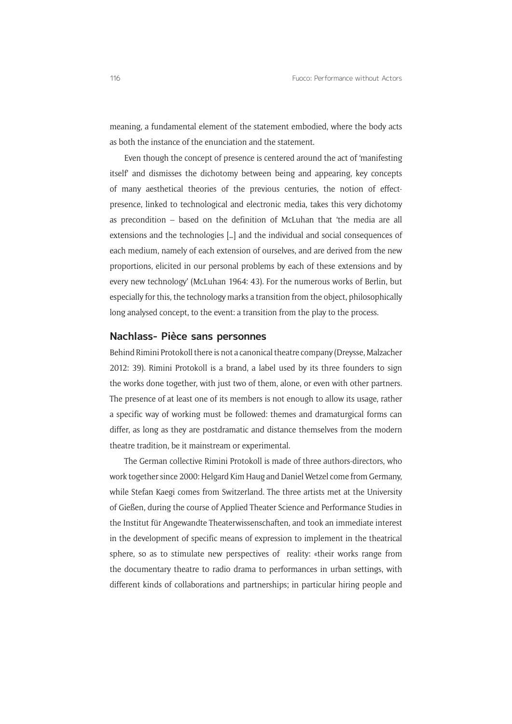meaning, a fundamental element of the statement embodied, where the body acts as both the instance of the enunciation and the statement.

Even though the concept of presence is centered around the act of 'manifesting itself' and dismisses the dichotomy between being and appearing, key concepts of many aesthetical theories of the previous centuries, the notion of effectpresence, linked to technological and electronic media, takes this very dichotomy as precondition – based on the definition of McLuhan that 'the media are all extensions and the technologies […] and the individual and social consequences of each medium, namely of each extension of ourselves, and are derived from the new proportions, elicited in our personal problems by each of these extensions and by every new technology' (McLuhan 1964: 43). For the numerous works of Berlin, but especially for this, the technology marks a transition from the object, philosophically long analysed concept, to the event: a transition from the play to the process.

#### **Nachlass- Pièce sans personnes**

Behind Rimini Protokoll there is not a canonical theatre company (Dreysse, Malzacher 2012: 39). Rimini Protokoll is a brand, a label used by its three founders to sign the works done together, with just two of them, alone, or even with other partners. The presence of at least one of its members is not enough to allow its usage, rather a specific way of working must be followed: themes and dramaturgical forms can differ, as long as they are postdramatic and distance themselves from the modern theatre tradition, be it mainstream or experimental.

The German collective Rimini Protokoll is made of three authors-directors, who work together since 2000: Helgard Kim Haug and Daniel Wetzel come from Germany, while Stefan Kaegi comes from Switzerland. The three artists met at the University of Gießen, during the course of Applied Theater Science and Performance Studies in the Institut für Angewandte Theaterwissenschaften, and took an immediate interest in the development of specific means of expression to implement in the theatrical sphere, so as to stimulate new perspectives of reality: «their works range from the documentary theatre to radio drama to performances in urban settings, with different kinds of collaborations and partnerships; in particular hiring people and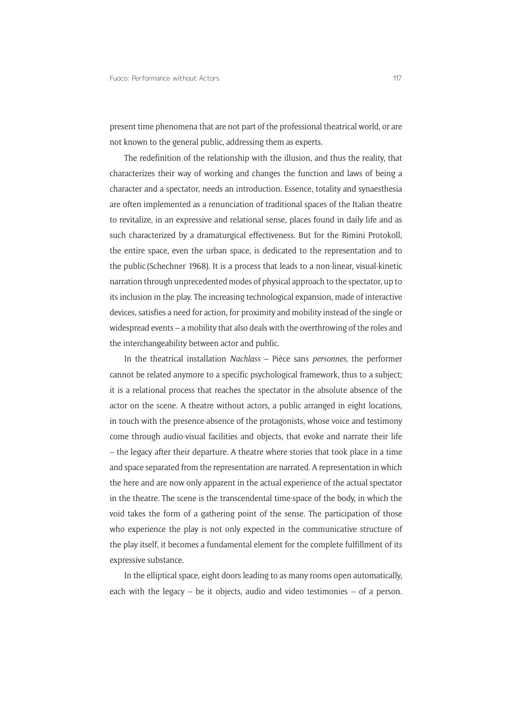present time phenomena that are not part of the professional theatrical world, or are not known to the general public, addressing them as experts.

The redefinition of the relationship with the illusion, and thus the reality, that characterizes their way of working and changes the function and laws of being a character and a spectator, needs an introduction. Essence, totality and synaesthesia are often implemented as a renunciation of traditional spaces of the Italian theatre to revitalize, in an expressive and relational sense, places found in daily life and as such characterized by a dramaturgical effectiveness. But for the Rimini Protokoll, the entire space, even the urban space, is dedicated to the representation and to the public (Schechner 1968). It is a process that leads to a non-linear, visual-kinetic narration through unprecedented modes of physical approach to the spectator, up to its inclusion in the play. The increasing technological expansion, made of interactive devices, satisfies a need for action, for proximity and mobility instead of the single or widespread events – a mobility that also deals with the overthrowing of the roles and the interchangeability between actor and public.

In the theatrical installation *Nachlass* – Pièce sans *personnes*, the performer cannot be related anymore to a specific psychological framework, thus to a subject; it is a relational process that reaches the spectator in the absolute absence of the actor on the scene. A theatre without actors, a public arranged in eight locations, in touch with the presence-absence of the protagonists, whose voice and testimony come through audio-visual facilities and objects, that evoke and narrate their life – the legacy after their departure. A theatre where stories that took place in a time and space separated from the representation are narrated. A representation in which the here and are now only apparent in the actual experience of the actual spectator in the theatre. The scene is the transcendental time-space of the body, in which the void takes the form of a gathering point of the sense. The participation of those who experience the play is not only expected in the communicative structure of the play itself, it becomes a fundamental element for the complete fulfillment of its expressive substance.

In the elliptical space, eight doors leading to as many rooms open automatically, each with the legacy – be it objects, audio and video testimonies – of a person.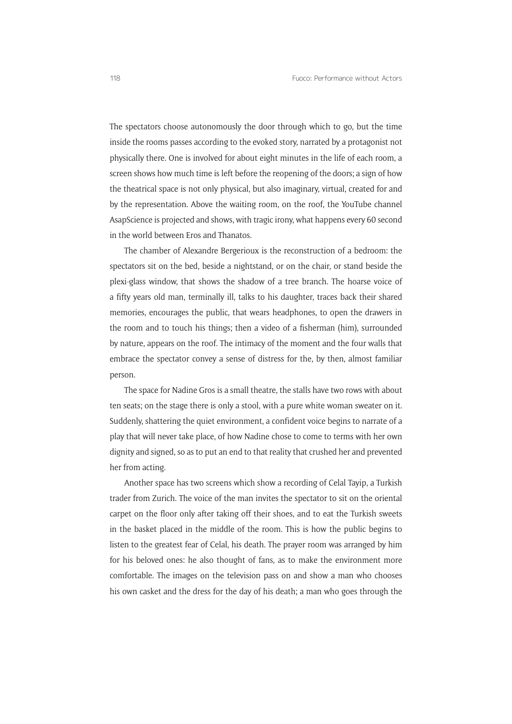The spectators choose autonomously the door through which to go, but the time inside the rooms passes according to the evoked story, narrated by a protagonist not physically there. One is involved for about eight minutes in the life of each room, a screen shows how much time is left before the reopening of the doors; a sign of how the theatrical space is not only physical, but also imaginary, virtual, created for and by the representation. Above the waiting room, on the roof, the YouTube channel AsapScience is projected and shows, with tragic irony, what happens every 60 second in the world between Eros and Thanatos.

The chamber of Alexandre Bergerioux is the reconstruction of a bedroom: the spectators sit on the bed, beside a nightstand, or on the chair, or stand beside the plexi-glass window, that shows the shadow of a tree branch. The hoarse voice of a fifty years old man, terminally ill, talks to his daughter, traces back their shared memories, encourages the public, that wears headphones, to open the drawers in the room and to touch his things; then a video of a fisherman (him), surrounded by nature, appears on the roof. The intimacy of the moment and the four walls that embrace the spectator convey a sense of distress for the, by then, almost familiar person.

The space for Nadine Gros is a small theatre, the stalls have two rows with about ten seats; on the stage there is only a stool, with a pure white woman sweater on it. Suddenly, shattering the quiet environment, a confident voice begins to narrate of a play that will never take place, of how Nadine chose to come to terms with her own dignity and signed, so as to put an end to that reality that crushed her and prevented her from acting.

Another space has two screens which show a recording of Celal Tayip, a Turkish trader from Zurich. The voice of the man invites the spectator to sit on the oriental carpet on the floor only after taking off their shoes, and to eat the Turkish sweets in the basket placed in the middle of the room. This is how the public begins to listen to the greatest fear of Celal, his death. The prayer room was arranged by him for his beloved ones: he also thought of fans, as to make the environment more comfortable. The images on the television pass on and show a man who chooses his own casket and the dress for the day of his death; a man who goes through the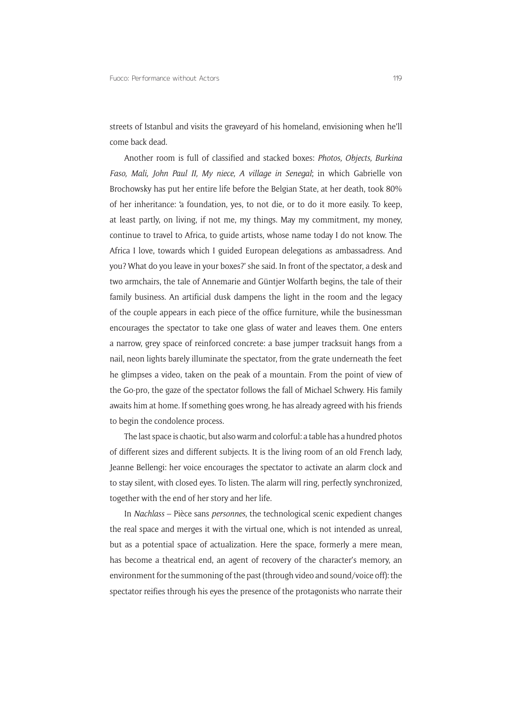streets of Istanbul and visits the graveyard of his homeland, envisioning when he'll come back dead.

Another room is full of classified and stacked boxes: *Photos, Objects, Burkina Faso, Mali, John Paul II, My niece, A village in Senegal*; in which Gabrielle von Brochowsky has put her entire life before the Belgian State, at her death, took 80% of her inheritance: 'a foundation, yes, to not die, or to do it more easily. To keep, at least partly, on living, if not me, my things. May my commitment, my money, continue to travel to Africa, to guide artists, whose name today I do not know. The Africa I love, towards which I guided European delegations as ambassadress. And you? What do you leave in your boxes?' she said. In front of the spectator, a desk and two armchairs, the tale of Annemarie and Güntjer Wolfarth begins, the tale of their family business. An artificial dusk dampens the light in the room and the legacy of the couple appears in each piece of the office furniture, while the businessman encourages the spectator to take one glass of water and leaves them. One enters a narrow, grey space of reinforced concrete: a base jumper tracksuit hangs from a nail, neon lights barely illuminate the spectator, from the grate underneath the feet he glimpses a video, taken on the peak of a mountain. From the point of view of the Go-pro, the gaze of the spectator follows the fall of Michael Schwery. His family awaits him at home. If something goes wrong, he has already agreed with his friends to begin the condolence process.

The last space is chaotic, but also warm and colorful: a table has a hundred photos of different sizes and different subjects. It is the living room of an old French lady, Jeanne Bellengi: her voice encourages the spectator to activate an alarm clock and to stay silent, with closed eyes. To listen. The alarm will ring, perfectly synchronized, together with the end of her story and her life.

In *Nachlass* – Pièce sans *personnes*, the technological scenic expedient changes the real space and merges it with the virtual one, which is not intended as unreal, but as a potential space of actualization. Here the space, formerly a mere mean, has become a theatrical end, an agent of recovery of the character's memory, an environment for the summoning of the past (through video and sound/voice off): the spectator reifies through his eyes the presence of the protagonists who narrate their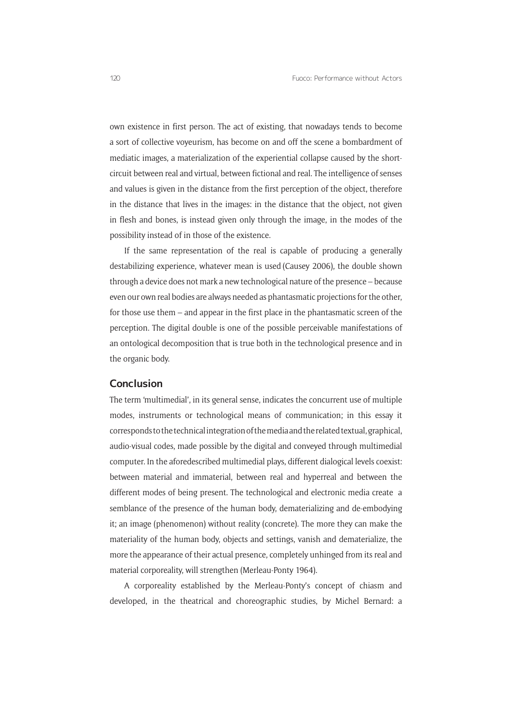own existence in first person. The act of existing, that nowadays tends to become a sort of collective voyeurism, has become on and off the scene a bombardment of mediatic images, a materialization of the experiential collapse caused by the shortcircuit between real and virtual, between fictional and real. The intelligence of senses and values is given in the distance from the first perception of the object, therefore in the distance that lives in the images: in the distance that the object, not given in flesh and bones, is instead given only through the image, in the modes of the possibility instead of in those of the existence.

If the same representation of the real is capable of producing a generally destabilizing experience, whatever mean is used (Causey 2006), the double shown through a device does not mark a new technological nature of the presence – because even our own real bodies are always needed as phantasmatic projections for the other, for those use them – and appear in the first place in the phantasmatic screen of the perception. The digital double is one of the possible perceivable manifestations of an ontological decomposition that is true both in the technological presence and in the organic body.

#### **Conclusion**

The term 'multimedial', in its general sense, indicates the concurrent use of multiple modes, instruments or technological means of communication; in this essay it corresponds to the technical integration of the media and the related textual, graphical, audio-visual codes, made possible by the digital and conveyed through multimedial computer. In the aforedescribed multimedial plays, different dialogical levels coexist: between material and immaterial, between real and hyperreal and between the different modes of being present. The technological and electronic media create a semblance of the presence of the human body, dematerializing and de-embodying it; an image (phenomenon) without reality (concrete). The more they can make the materiality of the human body, objects and settings, vanish and dematerialize, the more the appearance of their actual presence, completely unhinged from its real and material corporeality, will strengthen (Merleau-Ponty 1964).

A corporeality established by the Merleau-Ponty's concept of chiasm and developed, in the theatrical and choreographic studies, by Michel Bernard: a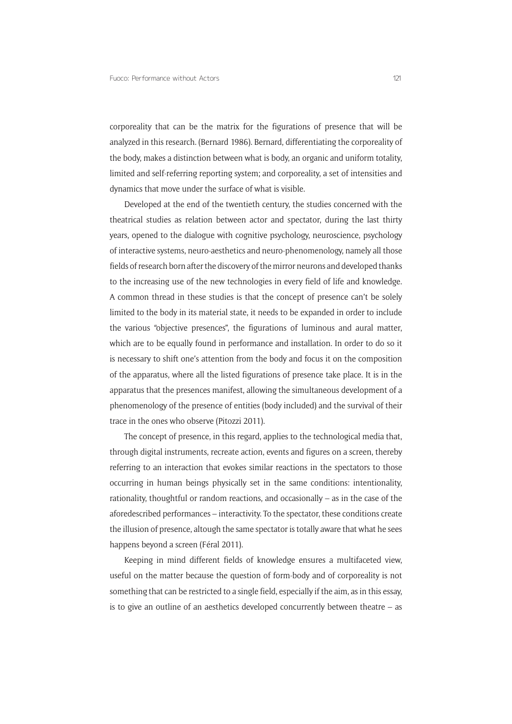corporeality that can be the matrix for the figurations of presence that will be analyzed in this research. (Bernard 1986). Bernard, differentiating the corporeality of the body, makes a distinction between what is body, an organic and uniform totality, limited and self-referring reporting system; and corporeality, a set of intensities and dynamics that move under the surface of what is visible.

Developed at the end of the twentieth century, the studies concerned with the theatrical studies as relation between actor and spectator, during the last thirty years, opened to the dialogue with cognitive psychology, neuroscience, psychology of interactive systems, neuro-aesthetics and neuro-phenomenology, namely all those fields of research born after the discovery of the mirror neurons and developed thanks to the increasing use of the new technologies in every field of life and knowledge. A common thread in these studies is that the concept of presence can't be solely limited to the body in its material state, it needs to be expanded in order to include the various "objective presences", the figurations of luminous and aural matter, which are to be equally found in performance and installation. In order to do so it is necessary to shift one's attention from the body and focus it on the composition of the apparatus, where all the listed figurations of presence take place. It is in the apparatus that the presences manifest, allowing the simultaneous development of a phenomenology of the presence of entities (body included) and the survival of their trace in the ones who observe (Pitozzi 2011).

The concept of presence, in this regard, applies to the technological media that, through digital instruments, recreate action, events and figures on a screen, thereby referring to an interaction that evokes similar reactions in the spectators to those occurring in human beings physically set in the same conditions: intentionality, rationality, thoughtful or random reactions, and occasionally – as in the case of the aforedescribed performances – interactivity. To the spectator, these conditions create the illusion of presence, altough the same spectator is totally aware that what he sees happens beyond a screen (Féral 2011).

Keeping in mind different fields of knowledge ensures a multifaceted view, useful on the matter because the question of form-body and of corporeality is not something that can be restricted to a single field, especially if the aim, as in this essay, is to give an outline of an aesthetics developed concurrently between theatre – as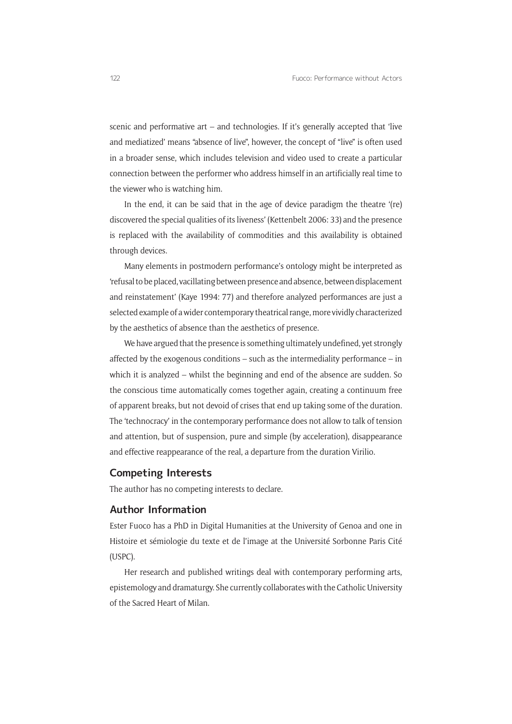scenic and performative art – and technologies. If it's generally accepted that 'live and mediatized' means "absence of live", however, the concept of "live" is often used in a broader sense, which includes television and video used to create a particular connection between the performer who address himself in an artificially real time to the viewer who is watching him.

In the end, it can be said that in the age of device paradigm the theatre '(re) discovered the special qualities of its liveness' (Kettenbelt 2006: 33) and the presence is replaced with the availability of commodities and this availability is obtained through devices.

Many elements in postmodern performance's ontology might be interpreted as 'refusal to be placed, vacillating between presence and absence, between displacement and reinstatement' (Kaye 1994: 77) and therefore analyzed performances are just a selected example of a wider contemporary theatrical range, more vividly characterized by the aesthetics of absence than the aesthetics of presence.

We have argued that the presence is something ultimately undefined, yet strongly affected by the exogenous conditions – such as the intermediality performance – in which it is analyzed – whilst the beginning and end of the absence are sudden. So the conscious time automatically comes together again, creating a continuum free of apparent breaks, but not devoid of crises that end up taking some of the duration. The 'technocracy' in the contemporary performance does not allow to talk of tension and attention, but of suspension, pure and simple (by acceleration), disappearance and effective reappearance of the real, a departure from the duration Virilio.

#### **Competing Interests**

The author has no competing interests to declare.

#### **Author Information**

Ester Fuoco has a PhD in Digital Humanities at the University of Genoa and one in Histoire et sémiologie du texte et de l'image at the Université Sorbonne Paris Cité (USPC).

Her research and published writings deal with contemporary performing arts, epistemology and dramaturgy. She currently collaborates with the Catholic University of the Sacred Heart of Milan.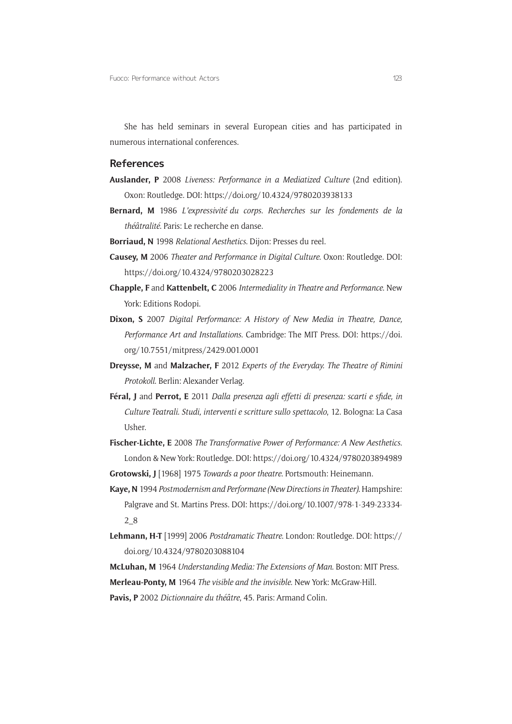She has held seminars in several European cities and has participated in numerous international conferences.

#### **References**

- **Auslander, P** 2008 *Liveness: Performance in a Mediatized Culture* (2nd edition). Oxon: Routledge. DOI:<https://doi.org/10.4324/9780203938133>
- **Bernard, M** 1986 *L'expressivité du corps. Recherches sur les fondements de la théâtralité*. Paris: Le recherche en danse.
- **Borriaud, N** 1998 *Relational Aesthetics*. Dijon: Presses du reel.
- **Causey, M** 2006 *Theater and Performance in Digital Culture*. Oxon: Routledge. DOI: <https://doi.org/10.4324/9780203028223>
- **Chapple, F** and **Kattenbelt, C** 2006 *Intermediality in Theatre and Performance*. New York: Editions Rodopi.
- **Dixon, S** 2007 *Digital Performance: A History of New Media in Theatre, Dance, Performance Art and Installations*. Cambridge: The MIT Press. DOI: [https://doi.](https://doi.org/10.7551/mitpress/2429.001.0001) [org/10.7551/mitpress/2429.001.0001](https://doi.org/10.7551/mitpress/2429.001.0001)
- **Dreysse, M** and **Malzacher, F** 2012 *Experts of the Everyday. The Theatre of Rimini Protokoll*. Berlin: Alexander Verlag.
- **Féral, J** and **Perrot, E** 2011 *Dalla presenza agli effetti di presenza: scarti e sfide, in Culture Teatrali. Studi, interventi e scritture sullo spettacolo*, 12. Bologna: La Casa Usher.
- **Fischer-Lichte, E** 2008 *The Transformative Power of Performance: A New Aesthetics*. London & New York: Routledge. DOI:<https://doi.org/10.4324/9780203894989>
- **Grotowski, J** [1968] 1975 *Towards a poor theatre*. Portsmouth: Heinemann.
- **Kaye, N** 1994 *Postmodernism and Performane (New Directions in Theater)*. Hampshire: Palgrave and St. Martins Press. DOI: [https://doi.org/10.1007/978-1-349-23334-](https://doi.org/10.1007/978-1-349-23334-2_8) [2\\_8](https://doi.org/10.1007/978-1-349-23334-2_8)
- **Lehmann, H-T** [1999] 2006 *Postdramatic Theatre*. London: Routledge. DOI: [https://](https://doi.org/10.4324/9780203088104) [doi.org/10.4324/9780203088104](https://doi.org/10.4324/9780203088104)

**McLuhan, M** 1964 *Understanding Media: The Extensions of Man*. Boston: MIT Press. **Merleau-Ponty, M** 1964 *The visible and the invisible*. New York: McGraw-Hill.

**Pavis, P** 2002 *Dictionnaire du théâtre*, 45. Paris: Armand Colin.